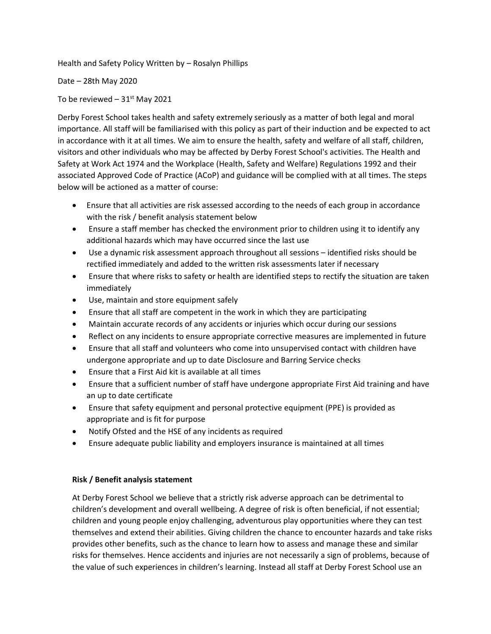Health and Safety Policy Written by – Rosalyn Phillips

Date – 28th May 2020

To be reviewed  $-31$ <sup>st</sup> May 2021

Derby Forest School takes health and safety extremely seriously as a matter of both legal and moral importance. All staff will be familiarised with this policy as part of their induction and be expected to act in accordance with it at all times. We aim to ensure the health, safety and welfare of all staff, children, visitors and other individuals who may be affected by Derby Forest School's activities. The Health and Safety at Work Act 1974 and the Workplace (Health, Safety and Welfare) Regulations 1992 and their associated Approved Code of Practice (ACoP) and guidance will be complied with at all times. The steps below will be actioned as a matter of course:

- Ensure that all activities are risk assessed according to the needs of each group in accordance with the risk / benefit analysis statement below
- Ensure a staff member has checked the environment prior to children using it to identify any additional hazards which may have occurred since the last use
- Use a dynamic risk assessment approach throughout all sessions identified risks should be rectified immediately and added to the written risk assessments later if necessary
- Ensure that where risks to safety or health are identified steps to rectify the situation are taken immediately
- Use, maintain and store equipment safely
- Ensure that all staff are competent in the work in which they are participating
- Maintain accurate records of any accidents or injuries which occur during our sessions
- Reflect on any incidents to ensure appropriate corrective measures are implemented in future
- Ensure that all staff and volunteers who come into unsupervised contact with children have undergone appropriate and up to date Disclosure and Barring Service checks
- Ensure that a First Aid kit is available at all times
- Ensure that a sufficient number of staff have undergone appropriate First Aid training and have an up to date certificate
- Ensure that safety equipment and personal protective equipment (PPE) is provided as appropriate and is fit for purpose
- Notify Ofsted and the HSE of any incidents as required
- Ensure adequate public liability and employers insurance is maintained at all times

## **Risk / Benefit analysis statement**

At Derby Forest School we believe that a strictly risk adverse approach can be detrimental to children's development and overall wellbeing. A degree of risk is often beneficial, if not essential; children and young people enjoy challenging, adventurous play opportunities where they can test themselves and extend their abilities. Giving children the chance to encounter hazards and take risks provides other benefits, such as the chance to learn how to assess and manage these and similar risks for themselves. Hence accidents and injuries are not necessarily a sign of problems, because of the value of such experiences in children's learning. Instead all staff at Derby Forest School use an